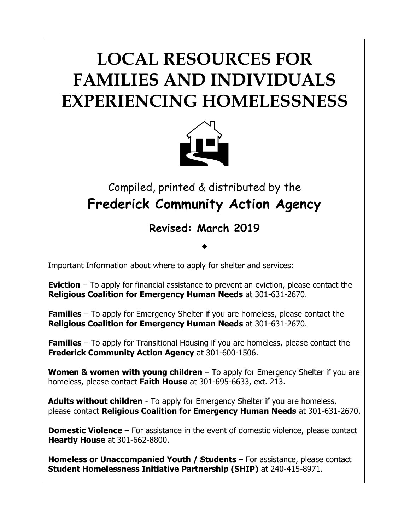# **LOCAL RESOURCES FOR FAMILIES AND INDIVIDUALS EXPERIENCING HOMELESSNESS**



## Compiled, printed & distributed by the **Frederick Community Action Agency**

### **Revised: March 2019**

 $\bullet$ 

Important Information about where to apply for shelter and services:

**Eviction** – To apply for financial assistance to prevent an eviction, please contact the **Religious Coalition for Emergency Human Needs** at 301-631-2670.

**Families** – To apply for Emergency Shelter if you are homeless, please contact the **Religious Coalition for Emergency Human Needs** at 301-631-2670.

**Families** – To apply for Transitional Housing if you are homeless, please contact the **Frederick Community Action Agency** at 301-600-1506.

**Women & women with young children** – To apply for Emergency Shelter if you are homeless, please contact **Faith House** at 301-695-6633, ext. 213.

**Adults without children** - To apply for Emergency Shelter if you are homeless, please contact **Religious Coalition for Emergency Human Needs** at 301-631-2670.

**Domestic Violence** – For assistance in the event of domestic violence, please contact **Heartly House** at 301-662-8800.

**Homeless or Unaccompanied Youth / Students** – For assistance, please contact **Student Homelessness Initiative Partnership (SHIP)** at 240-415-8971.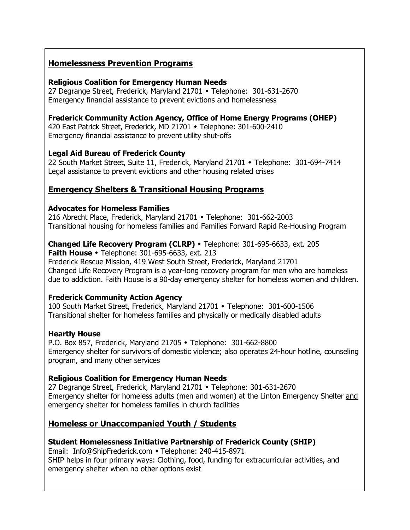#### **Homelessness Prevention Programs**

#### **Religious Coalition for Emergency Human Needs**

27 Degrange Street, Frederick, Maryland 21701 • Telephone: 301-631-2670 Emergency financial assistance to prevent evictions and homelessness

#### **Frederick Community Action Agency, Office of Home Energy Programs (OHEP)**

420 East Patrick Street, Frederick, MD 21701 • Telephone: 301-600-2410 Emergency financial assistance to prevent utility shut-offs

#### **Legal Aid Bureau of Frederick County**

22 South Market Street, Suite 11, Frederick, Maryland 21701 • Telephone: 301-694-7414 Legal assistance to prevent evictions and other housing related crises

#### **Emergency Shelters & Transitional Housing Programs**

#### **Advocates for Homeless Families**

216 Abrecht Place, Frederick, Maryland 21701 • Telephone: 301-662-2003 Transitional housing for homeless families and Families Forward Rapid Re-Housing Program

#### **Changed Life Recovery Program (CLRP)**  Telephone: 301-695-6633, ext. 205

**Faith House •** Telephone: 301-695-6633, ext. 213 Frederick Rescue Mission, 419 West South Street, Frederick, Maryland 21701 Changed Life Recovery Program is a year-long recovery program for men who are homeless due to addiction. Faith House is a 90-day emergency shelter for homeless women and children.

#### **Frederick Community Action Agency**

100 South Market Street, Frederick, Maryland 21701 • Telephone: 301-600-1506 Transitional shelter for homeless families and physically or medically disabled adults

#### **Heartly House**

P.O. Box 857, Frederick, Maryland 21705 • Telephone: 301-662-8800 Emergency shelter for survivors of domestic violence; also operates 24-hour hotline, counseling program, and many other services

#### **Religious Coalition for Emergency Human Needs**

27 Degrange Street, Frederick, Maryland 21701 • Telephone: 301-631-2670 Emergency shelter for homeless adults (men and women) at the Linton Emergency Shelter and emergency shelter for homeless families in church facilities

#### **Homeless or Unaccompanied Youth / Students**

#### **Student Homelessness Initiative Partnership of Frederick County (SHIP)**

Email: [Info@ShipFrederick.com](mailto:Info@ShipFrederick.com) • Telephone: 240-415-8971 SHIP helps in four primary ways: Clothing, food, funding for extracurricular activities, and emergency shelter when no other options exist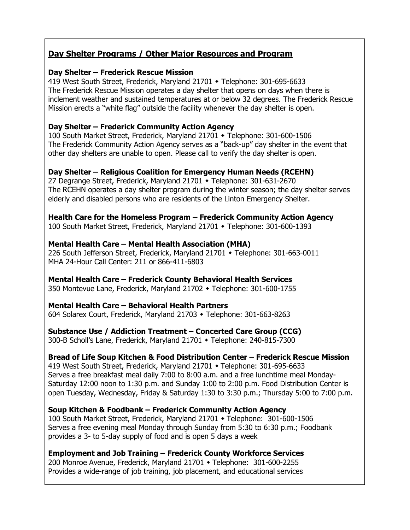#### **Day Shelter Programs / Other Major Resources and Program**

#### **Day Shelter – Frederick Rescue Mission**

419 West South Street, Frederick, Maryland 21701 • Telephone: 301-695-6633 The Frederick Rescue Mission operates a day shelter that opens on days when there is inclement weather and sustained temperatures at or below 32 degrees. The Frederick Rescue Mission erects a "white flag" outside the facility whenever the day shelter is open.

#### **Day Shelter – Frederick Community Action Agency**

100 South Market Street, Frederick, Maryland 21701 • Telephone: 301-600-1506 The Frederick Community Action Agency serves as a "back-up" day shelter in the event that other day shelters are unable to open. Please call to verify the day shelter is open.

#### **Day Shelter – Religious Coalition for Emergency Human Needs (RCEHN)**

27 Degrange Street, Frederick, Maryland 21701 • Telephone: 301-631-2670 The RCEHN operates a day shelter program during the winter season; the day shelter serves elderly and disabled persons who are residents of the Linton Emergency Shelter.

**Health Care for the Homeless Program – Frederick Community Action Agency**

100 South Market Street, Frederick, Maryland 21701 • Telephone: 301-600-1393

#### **Mental Health Care – Mental Health Association (MHA)**

226 South Jefferson Street, Frederick, Maryland 21701 • Telephone: 301-663-0011 MHA 24-Hour Call Center: 211 or 866-411-6803

#### **Mental Health Care – Frederick County Behavioral Health Services**

350 Montevue Lane, Frederick, Maryland 21702 • Telephone: 301-600-1755

#### **Mental Health Care – Behavioral Health Partners**

604 Solarex Court, Frederick, Maryland 21703 • Telephone: 301-663-8263

#### **Substance Use / Addiction Treatment – Concerted Care Group (CCG)**

300-B Scholl's Lane, Frederick, Maryland 21701 • Telephone: 240-815-7300

#### **Bread of Life Soup Kitchen & Food Distribution Center – Frederick Rescue Mission**

419 West South Street, Frederick, Maryland 21701 • Telephone: 301-695-6633 Serves a free breakfast meal daily 7:00 to 8:00 a.m. and a free lunchtime meal Monday-Saturday 12:00 noon to 1:30 p.m. and Sunday 1:00 to 2:00 p.m. Food Distribution Center is open Tuesday, Wednesday, Friday & Saturday 1:30 to 3:30 p.m.; Thursday 5:00 to 7:00 p.m.

**Soup Kitchen & Foodbank – Frederick Community Action Agency** 100 South Market Street, Frederick, Maryland 21701 • Telephone: 301-600-1506 Serves a free evening meal Monday through Sunday from 5:30 to 6:30 p.m.; Foodbank provides a 3- to 5-day supply of food and is open 5 days a week

#### **Employment and Job Training – Frederick County Workforce Services**

200 Monroe Avenue, Frederick, Maryland 21701 • Telephone: 301-600-2255 Provides a wide-range of job training, job placement, and educational services